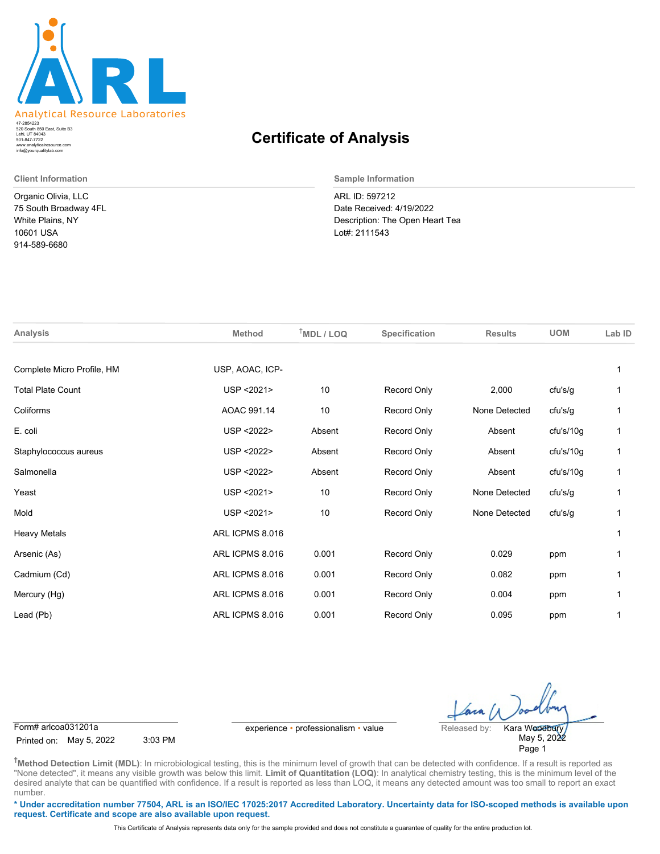

520 South 850 East, Suite B3 Lehi, UT 84043 47-2854223 801-847-7722 www.analyticalresource.com info@yourqualitylab.com

Organic Olivia, LLC 75 South Broadway 4FL White Plains, NY 10601 USA 914-589-6680

## **Certificate of Analysis**

**Client Information Sample Information**

ARL ID: 597212 Date Received: 4/19/2022 Description: The Open Heart Tea Lot#: 2111543

| Analysis                   | <b>Method</b>   | $†MDL / LOQ$ | Specification      | <b>Results</b> | <b>UOM</b> | Lab ID |
|----------------------------|-----------------|--------------|--------------------|----------------|------------|--------|
| Complete Micro Profile, HM | USP, AOAC, ICP- |              |                    |                |            |        |
| <b>Total Plate Count</b>   | USP < 2021>     | 10           | Record Only        | 2,000          | cfu's/g    |        |
| Coliforms                  | AOAC 991.14     | 10           | Record Only        | None Detected  | cfu's/g    |        |
| E. coli                    | USP < 2022>     | Absent       | Record Only        | Absent         | cfu's/10g  | 1      |
| Staphylococcus aureus      | USP < 2022>     | Absent       | Record Only        | Absent         | cfu's/10g  | 1      |
| Salmonella                 | USP < 2022>     | Absent       | Record Only        | Absent         | cfu's/10g  | 1      |
| Yeast                      | USP < 2021>     | 10           | <b>Record Only</b> | None Detected  | cfu's/g    | 1      |
| Mold                       | USP < 2021>     | 10           | Record Only        | None Detected  | cfu's/g    |        |
| <b>Heavy Metals</b>        | ARL ICPMS 8.016 |              |                    |                |            | 1      |
| Arsenic (As)               | ARL ICPMS 8.016 | 0.001        | Record Only        | 0.029          | ppm        |        |
| Cadmium (Cd)               | ARL ICPMS 8.016 | 0.001        | Record Only        | 0.082          | ppm        |        |
| Mercury (Hg)               | ARL ICPMS 8.016 | 0.001        | Record Only        | 0.004          | ppm        |        |
| Lead (Pb)                  | ARL ICPMS 8.016 | 0.001        | Record Only        | 0.095          | ppm        |        |
|                            |                 |              |                    |                |            |        |

Printed on: May 5, 2022 3:03 PM

Form# arlcoa031201a experience • professionalism • value Released by:

May 5, 2022 Page 1 Kara Woodbury

**†Method Detection Limit (MDL)**: In microbiological testing, this is the minimum level of growth that can be detected with confidence. If a result is reported as "None detected", it means any visible growth was below this limit. Limit of Quantitation (LOQ): In analytical chemistry testing, this is the minimum level of the desired analyte that can be quantified with confidence. If a result is reported as less than LOQ, it means any detected amount was too small to report an exact number.

**\* Under accreditation number 77504, ARL is an ISO/IEC 17025:2017 Accredited Laboratory. Uncertainty data for ISO-scoped methods is available upon request. Certificate and scope are also available upon request.**